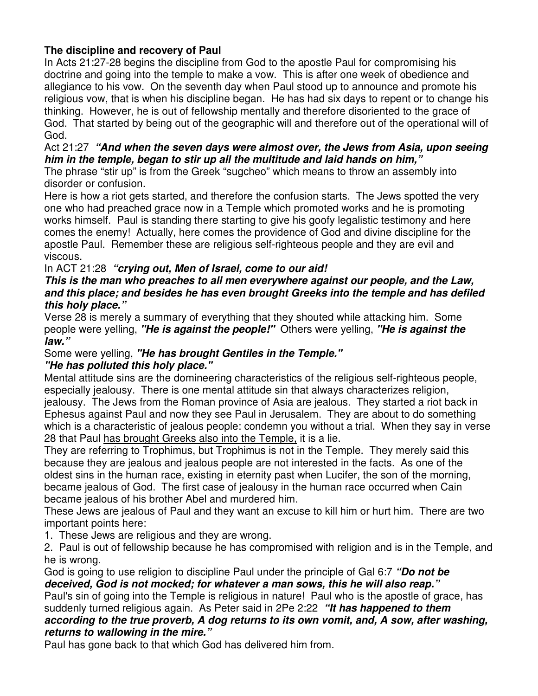## **The discipline and recovery of Paul**

In Acts 21:27-28 begins the discipline from God to the apostle Paul for compromising his doctrine and going into the temple to make a vow. This is after one week of obedience and allegiance to his vow. On the seventh day when Paul stood up to announce and promote his religious vow, that is when his discipline began. He has had six days to repent or to change his thinking. However, he is out of fellowship mentally and therefore disoriented to the grace of God. That started by being out of the geographic will and therefore out of the operational will of God.

### Act 21:27 *"And when the seven days were almost over, the Jews from Asia, upon seeing him in the temple, began to stir up all the multitude and laid hands on him,"*

The phrase "stir up" is from the Greek "sugcheo" which means to throw an assembly into disorder or confusion.

Here is how a riot gets started, and therefore the confusion starts. The Jews spotted the very one who had preached grace now in a Temple which promoted works and he is promoting works himself. Paul is standing there starting to give his goofy legalistic testimony and here comes the enemy! Actually, here comes the providence of God and divine discipline for the apostle Paul. Remember these are religious self-righteous people and they are evil and viscous.

## In ACT 21:28 *"crying out, Men of Israel, come to our aid!*

#### *This is the man who preaches to all men everywhere against our people, and the Law, and this place; and besides he has even brought Greeks into the temple and has defiled this holy place."*

Verse 28 is merely a summary of everything that they shouted while attacking him. Some people were yelling, *"He is against the people!"* Others were yelling, *"He is against the law."*

Some were yelling, *"He has brought Gentiles in the Temple."*

## *"He has polluted this holy place."*

Mental attitude sins are the domineering characteristics of the religious self-righteous people, especially jealousy. There is one mental attitude sin that always characterizes religion, jealousy. The Jews from the Roman province of Asia are jealous. They started a riot back in Ephesus against Paul and now they see Paul in Jerusalem. They are about to do something which is a characteristic of jealous people: condemn you without a trial. When they say in verse 28 that Paul has brought Greeks also into the Temple, it is a lie.

They are referring to Trophimus, but Trophimus is not in the Temple. They merely said this because they are jealous and jealous people are not interested in the facts. As one of the oldest sins in the human race, existing in eternity past when Lucifer, the son of the morning, became jealous of God. The first case of jealousy in the human race occurred when Cain became jealous of his brother Abel and murdered him.

These Jews are jealous of Paul and they want an excuse to kill him or hurt him. There are two important points here:

1. These Jews are religious and they are wrong.

2. Paul is out of fellowship because he has compromised with religion and is in the Temple, and he is wrong.

God is going to use religion to discipline Paul under the principle of Gal 6:7 *"Do not be deceived, God is not mocked; for whatever a man sows, this he will also reap."*

Paul's sin of going into the Temple is religious in nature! Paul who is the apostle of grace, has suddenly turned religious again. As Peter said in 2Pe 2:22 *"It has happened to them*

# *according to the true proverb, A dog returns to its own vomit, and, A sow, after washing, returns to wallowing in the mire."*

Paul has gone back to that which God has delivered him from.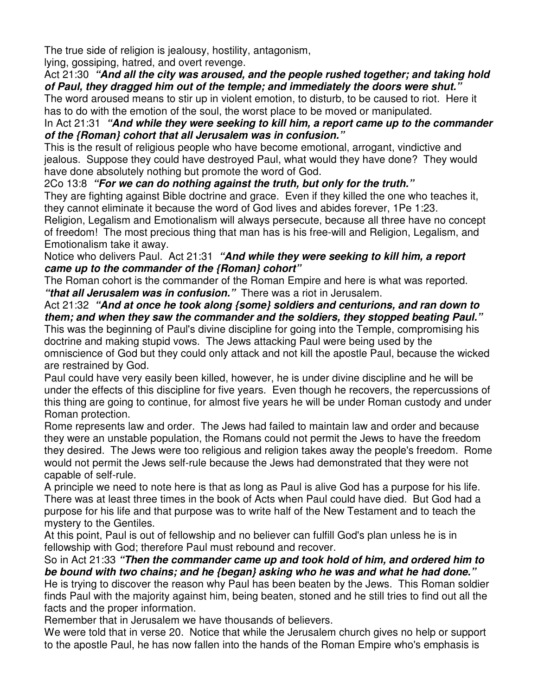The true side of religion is jealousy, hostility, antagonism,

lying, gossiping, hatred, and overt revenge.

Act 21:30 *"And all the city was aroused, and the people rushed together; and taking hold of Paul, they dragged him out of the temple; and immediately the doors were shut."*

The word aroused means to stir up in violent emotion, to disturb, to be caused to riot. Here it has to do with the emotion of the soul, the worst place to be moved or manipulated.

#### In Act 21:31 *"And while they were seeking to kill him, a report came up to the commander of the {Roman} cohort that all Jerusalem was in confusion."*

This is the result of religious people who have become emotional, arrogant, vindictive and jealous. Suppose they could have destroyed Paul, what would they have done? They would have done absolutely nothing but promote the word of God.

2Co 13:8 *"For we can do nothing against the truth, but only for the truth."*

They are fighting against Bible doctrine and grace. Even if they killed the one who teaches it, they cannot eliminate it because the word of God lives and abides forever, 1Pe 1:23.

Religion, Legalism and Emotionalism will always persecute, because all three have no concept of freedom! The most precious thing that man has is his free-will and Religion, Legalism, and Emotionalism take it away.

Notice who delivers Paul. Act 21:31 *"And while they were seeking to kill him, a report came up to the commander of the {Roman} cohort"*

The Roman cohort is the commander of the Roman Empire and here is what was reported. *"that all Jerusalem was in confusion."* There was a riot in Jerusalem.

Act 21:32 *"And at once he took along {some} soldiers and centurions, and ran down to them; and when they saw the commander and the soldiers, they stopped beating Paul."* This was the beginning of Paul's divine discipline for going into the Temple, compromising his doctrine and making stupid vows. The Jews attacking Paul were being used by the omniscience of God but they could only attack and not kill the apostle Paul, because the wicked are restrained by God.

Paul could have very easily been killed, however, he is under divine discipline and he will be under the effects of this discipline for five years. Even though he recovers, the repercussions of this thing are going to continue, for almost five years he will be under Roman custody and under Roman protection.

Rome represents law and order. The Jews had failed to maintain law and order and because they were an unstable population, the Romans could not permit the Jews to have the freedom they desired. The Jews were too religious and religion takes away the people's freedom. Rome would not permit the Jews self-rule because the Jews had demonstrated that they were not capable of self-rule.

A principle we need to note here is that as long as Paul is alive God has a purpose for his life. There was at least three times in the book of Acts when Paul could have died. But God had a purpose for his life and that purpose was to write half of the New Testament and to teach the mystery to the Gentiles.

At this point, Paul is out of fellowship and no believer can fulfill God's plan unless he is in fellowship with God; therefore Paul must rebound and recover.

So in Act 21:33 *"Then the commander came up and took hold of him, and ordered him to be bound with two chains; and he {began} asking who he was and what he had done."*

He is trying to discover the reason why Paul has been beaten by the Jews. This Roman soldier finds Paul with the majority against him, being beaten, stoned and he still tries to find out all the facts and the proper information.

Remember that in Jerusalem we have thousands of believers.

We were told that in verse 20. Notice that while the Jerusalem church gives no help or support to the apostle Paul, he has now fallen into the hands of the Roman Empire who's emphasis is